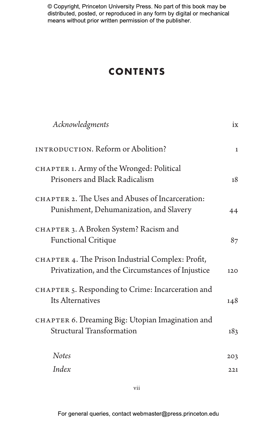### **CONTENTS**

| Acknowledgments                                                                                        | ix           |
|--------------------------------------------------------------------------------------------------------|--------------|
| INTRODUCTION. Reform or Abolition?                                                                     | $\mathbf{1}$ |
| CHAPTER 1. Army of the Wronged: Political<br>Prisoners and Black Radicalism                            | 18           |
| CHAPTER 2. The Uses and Abuses of Incarceration:<br>Punishment, Dehumanization, and Slavery            | 44           |
| CHAPTER 3. A Broken System? Racism and<br><b>Functional Critique</b>                                   | 87           |
| CHAPTER 4. The Prison Industrial Complex: Profit,<br>Privatization, and the Circumstances of Injustice | 120          |
| CHAPTER 5. Responding to Crime: Incarceration and<br>Its Alternatives                                  | 148          |
| CHAPTER 6. Dreaming Big: Utopian Imagination and<br><b>Structural Transformation</b>                   | 183          |
| <b>Notes</b>                                                                                           | 203          |
| Index                                                                                                  | 221          |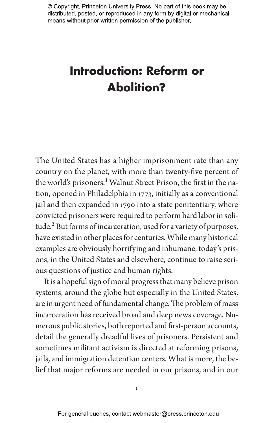# **Introduction: Reform or Abolition?**

The United States has a higher imprisonment rate than any country on the planet, with more than twenty-five percent of the world's prisoners.<sup>1</sup> Walnut Street Prison, the first in the nation, opened in Philadelphia in 1773, initially as a conventional jail and then expanded in 1790 into a state penitentiary, where convicted prisoners were required to perform hard labor in solitude.<sup>2</sup> But forms of incarceration, used for a variety of purposes, have existed in other places for centuries. While many historical examples are obviously horrifying and inhumane, today's prisons, in the United States and elsewhere, continue to raise serious questions of justice and human rights.

It is a hopeful sign of moral progress that many believe prison systems, around the globe but especially in the United States, are in urgent need of fundamental change. The problem of mass incarceration has received broad and deep news coverage. Numerous public stories, both reported and first-person accounts, detail the generally dreadful lives of prisoners. Persistent and sometimes militant activism is directed at reforming prisons, jails, and immigration detention centers. What is more, the belief that major reforms are needed in our prisons, and in our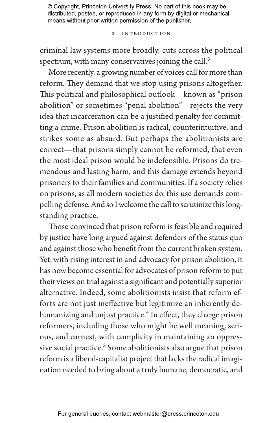2 Introduction

criminal law systems more broadly, cuts across the political spectrum, with many conservatives joining the call. $3$ 

More recently, a growing number of voices call for more than reform. They demand that we stop using prisons altogether. This political and philosophical outlook—known as "prison abolition" or sometimes "penal abolition"—rejects the very idea that incarceration can be a justified penalty for committing a crime. Prison abolition is radical, counterintuitive, and strikes some as absurd. But perhaps the abolitionists are correct—that prisons simply cannot be reformed, that even the most ideal prison would be indefensible. Prisons do tremendous and lasting harm, and this damage extends beyond prisoners to their families and communities. If a society relies on prisons, as all modern societies do, this use demands compelling defense. And so I welcome the call to scrutinize this longstanding practice.

Those convinced that prison reform is feasible and required by justice have long argued against defenders of the status quo and against those who benefit from the current broken system. Yet, with rising interest in and advocacy for prison abolition, it has now become essential for advocates of prison reform to put their views on trial against a significant and potentially superior alternative. Indeed, some abolitionists insist that reform efforts are not just ineffective but legitimize an inherently dehumanizing and unjust practice.<sup>4</sup> In effect, they charge prison reformers, including those who might be well meaning, serious, and earnest, with complicity in maintaining an oppressive social practice.<sup>5</sup> Some abolitionists also argue that prison reform is a liberal-capitalist project that lacks the radical imagination needed to bring about a truly humane, democratic, and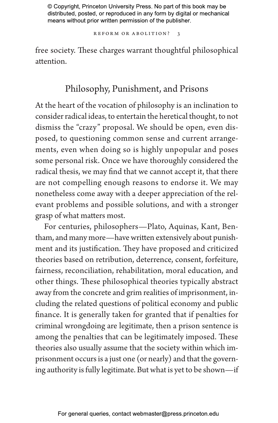REFORM OR ABOLITION? 3

free society. These charges warrant thoughtful philosophical attention.

### Philosophy, Punishment, and Prisons

At the heart of the vocation of philosophy is an inclination to consider radical ideas, to entertain the heretical thought, to not dismiss the "crazy" proposal. We should be open, even disposed, to questioning common sense and current arrangements, even when doing so is highly unpopular and poses some personal risk. Once we have thoroughly considered the radical thesis, we may find that we cannot accept it, that there are not compelling enough reasons to endorse it. We may nonetheless come away with a deeper appreciation of the relevant problems and possible solutions, and with a stronger grasp of what matters most.

For centuries, philosophers—Plato, Aquinas, Kant, Bentham, and many more—have written extensively about punishment and its justification. They have proposed and criticized theories based on retribution, deterrence, consent, forfeiture, fairness, reconciliation, rehabilitation, moral education, and other things. These philosophical theories typically abstract away from the concrete and grim realities of imprisonment, including the related questions of political economy and public finance. It is generally taken for granted that if penalties for criminal wrongdoing are legitimate, then a prison sentence is among the penalties that can be legitimately imposed. These theories also usually assume that the society within which imprisonment occurs is a just one (or nearly) and that the governing authority is fully legitimate. But what is yet to be shown—if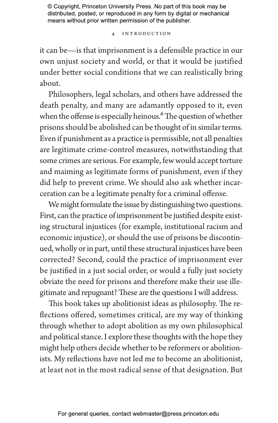4 Introduction

it can be—is that imprisonment is a defensible practice in our own unjust society and world, or that it would be justified under better social conditions that we can realistically bring about.

Philosophers, legal scholars, and others have addressed the death penalty, and many are adamantly opposed to it, even when the offense is especially heinous.<sup>6</sup> The question of whether prisons should be abolished can be thought of in similar terms. Even if punishment as a practice is permissible, not all penalties are legitimate crime-control measures, notwithstanding that some crimes are serious. For example, few would accept torture and maiming as legitimate forms of punishment, even if they did help to prevent crime. We should also ask whether incarceration can be a legitimate penalty for a criminal offense.

We might formulate the issue by distinguishing two questions. First, can the practice of imprisonment be justified despite existing structural injustices (for example, institutional racism and economic injustice), or should the use of prisons be discontinued, wholly or in part, until these structural injustices have been corrected? Second, could the practice of imprisonment ever be justified in a just social order, or would a fully just society obviate the need for prisons and therefore make their use illegitimate and repugnant? These are the questions I will address.

This book takes up abolitionist ideas as philosophy. The reflections offered, sometimes critical, are my way of thinking through whether to adopt abolition as my own philosophical and political stance. I explore these thoughts with the hope they might help others decide whether to be reformers or abolitionists. My reflections have not led me to become an abolitionist, at least not in the most radical sense of that designation. But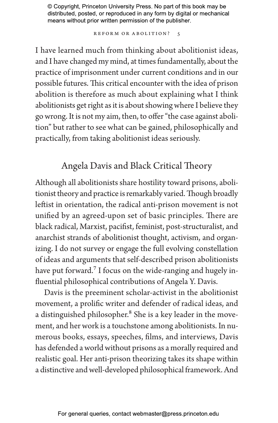REFORM OR ABOLITION? 5

I have learned much from thinking about abolitionist ideas, and I have changed my mind, at times fundamentally, about the practice of imprisonment under current conditions and in our possible futures. This critical encounter with the idea of prison abolition is therefore as much about explaining what I think abolitionists get right as it is about showing where I believe they go wrong. It is not my aim, then, to offer "the case against abolition" but rather to see what can be gained, philosophically and practically, from taking abolitionist ideas seriously.

### Angela Davis and Black Critical Theory

Although all abolitionists share hostility toward prisons, abolitionist theory and practice is remarkably varied. Though broadly leftist in orientation, the radical anti-prison movement is not unified by an agreed-upon set of basic principles. There are black radical, Marxist, pacifist, feminist, post-structuralist, and anarchist strands of abolitionist thought, activism, and organizing. I do not survey or engage the full evolving constellation of ideas and arguments that self-described prison abolitionists have put forward.<sup>7</sup> I focus on the wide-ranging and hugely influential philosophical contributions of Angela Y. Davis.

Davis is the preeminent scholar-activist in the abolitionist movement, a prolific writer and defender of radical ideas, and a distinguished philosopher.<sup>8</sup> She is a key leader in the movement, and her work is a touchstone among abolitionists. In numerous books, essays, speeches, films, and interviews, Davis has defended a world without prisons as a morally required and realistic goal. Her anti-prison theorizing takes its shape within a distinctive and well-developed philosophical framework. And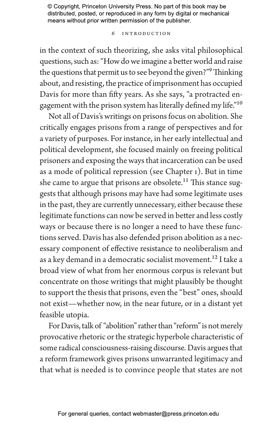### 6 Introduction

in the context of such theorizing, she asks vital philosophical questions, such as: "How do we imagine a better world and raise the questions that permit us to see beyond the given?"9 Thinking about, and resisting, the practice of imprisonment has occupied Davis for more than fifty years. As she says, "a protracted engagement with the prison system has literally defined my life."10

Not all of Davis's writings on prisons focus on abolition. She critically engages prisons from a range of perspectives and for a variety of purposes. For instance, in her early intellectual and political development, she focused mainly on freeing political prisoners and exposing the ways that incarceration can be used as a mode of political repression (see Chapter 1). But in time she came to argue that prisons are obsolete.<sup>11</sup> This stance suggests that although prisons may have had some legitimate uses in the past, they are currently unnecessary, either because these legitimate functions can now be served in better and less costly ways or because there is no longer a need to have these functions served. Davis has also defended prison abolition as a necessary component of effective resistance to neoliberalism and as a key demand in a democratic socialist movement.<sup>12</sup> I take a broad view of what from her enormous corpus is relevant but concentrate on those writings that might plausibly be thought to support the thesis that prisons, even the "best" ones, should not exist—whether now, in the near future, or in a distant yet feasible utopia.

For Davis, talk of "abolition" rather than "reform" is not merely provocative rhetoric or the strategic hyperbole characteristic of some radical consciousness-raising discourse. Davis argues that a reform framework gives prisons unwarranted legitimacy and that what is needed is to convince people that states are not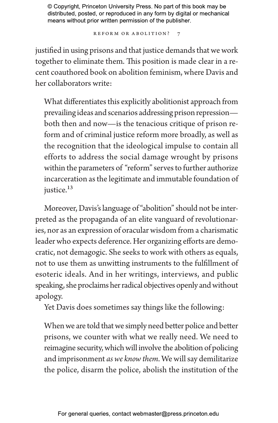REFORM OR ABOLITION? 7

justified in using prisons and that justice demands that we work together to eliminate them. This position is made clear in a recent coauthored book on abolition feminism, where Davis and her collaborators write:

What differentiates this explicitly abolitionist approach from prevailing ideas and scenarios addressing prison repression both then and now—is the tenacious critique of prison reform and of criminal justice reform more broadly, as well as the recognition that the ideological impulse to contain all efforts to address the social damage wrought by prisons within the parameters of "reform" serves to further authorize incarceration as the legitimate and immutable foundation of justice.<sup>13</sup>

Moreover, Davis's language of "abolition" should not be interpreted as the propaganda of an elite vanguard of revolutionaries, nor as an expression of oracular wisdom from a charismatic leader who expects deference. Her organizing efforts are democratic, not demagogic. She seeks to work with others as equals, not to use them as unwitting instruments to the fulfillment of esoteric ideals. And in her writings, interviews, and public speaking, she proclaims her radical objectives openly and without apology.

Yet Davis does sometimes say things like the following:

When we are told that we simply need better police and better prisons, we counter with what we really need. We need to reimagine security, which will involve the abolition of policing and imprisonment *as we know them*. We will say demilitarize the police, disarm the police, abolish the institution of the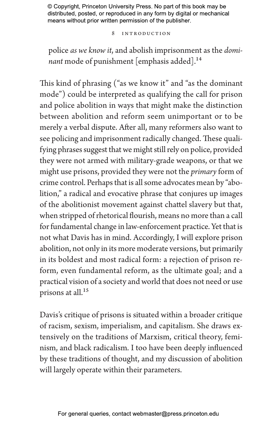8 Introduction

police *as we know it*, and abolish imprisonment as the *dominant* mode of punishment [emphasis added].<sup>14</sup>

This kind of phrasing ("as we know it" and "as the dominant mode") could be interpreted as qualifying the call for prison and police abolition in ways that might make the distinction between abolition and reform seem unimportant or to be merely a verbal dispute. After all, many reformers also want to see policing and imprisonment radically changed. These qualifying phrases suggest that we might still rely on police, provided they were not armed with military-grade weapons, or that we might use prisons, provided they were not the *primary* form of crime control. Perhaps that is all some advocates mean by "abolition," a radical and evocative phrase that conjures up images of the abolitionist movement against chattel slavery but that, when stripped of rhetorical flourish, means no more than a call for fundamental change in law-enforcement practice. Yet that is not what Davis has in mind. Accordingly, I will explore prison abolition, not only in its more moderate versions, but primarily in its boldest and most radical form: a rejection of prison reform, even fundamental reform, as the ultimate goal; and a practical vision of a society and world that does not need or use prisons at all.<sup>15</sup>

Davis's critique of prisons is situated within a broader critique of racism, sexism, imperialism, and capitalism. She draws extensively on the traditions of Marxism, critical theory, feminism, and black radicalism. I too have been deeply influenced by these traditions of thought, and my discussion of abolition will largely operate within their parameters.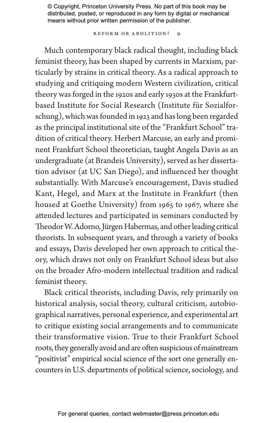REFORM OR ABOLITION?

Much contemporary black radical thought, including black feminist theory, has been shaped by currents in Marxism, particularly by strains in critical theory. As a radical approach to studying and critiquing modern Western civilization, critical theory was forged in the 1920s and early 1930s at the Frankfurtbased Institute for Social Research (Institute für Sozialforschung), which was founded in 1923 and has long been regarded as the principal institutional site of the "Frankfurt School" tradition of critical theory. Herbert Marcuse, an early and prominent Frankfurt School theoretician, taught Angela Davis as an undergraduate (at Brandeis University), served as her dissertation advisor (at UC San Diego), and influenced her thought substantially. With Marcuse's encouragement, Davis studied Kant, Hegel, and Marx at the Institute in Frankfurt (then housed at Goethe University) from 1965 to 1967, where she attended lectures and participated in seminars conducted by Theodor W. Adorno, Jürgen Habermas, and other leading critical theorists. In subsequent years, and through a variety of books and essays, Davis developed her own approach to critical theory, which draws not only on Frankfurt School ideas but also on the broader Afro-modern intellectual tradition and radical feminist theory.

Black critical theorists, including Davis, rely primarily on historical analysis, social theory, cultural criticism, autobiographical narratives, personal experience, and experimental art to critique existing social arrangements and to communicate their transformative vision. True to their Frankfurt School roots, they generally avoid and are often suspicious of mainstream "positivist" empirical social science of the sort one generally encounters in U.S. departments of political science, sociology, and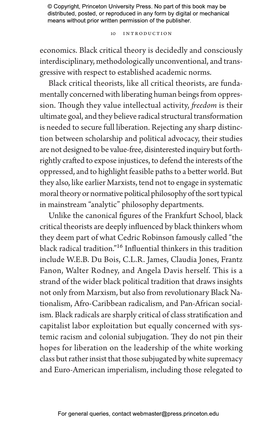### 10 Introduction

economics. Black critical theory is decidedly and consciously interdisciplinary, methodologically unconventional, and transgressive with respect to established academic norms.

Black critical theorists, like all critical theorists, are fundamentally concerned with liberating human beings from oppression. Though they value intellectual activity, *freedom* is their ultimate goal, and they believe radical structural transformation is needed to secure full liberation. Rejecting any sharp distinction between scholarship and political advocacy, their studies are not designed to be value-free, disinterested inquiry but forthrightly crafted to expose injustices, to defend the interests of the oppressed, and to highlight feasible paths to a better world. But they also, like earlier Marxists, tend not to engage in systematic moral theory or normative political philosophy of the sort typical in mainstream "analytic" philosophy departments.

Unlike the canonical figures of the Frankfurt School, black critical theorists are deeply influenced by black thinkers whom they deem part of what Cedric Robinson famously called "the black radical tradition."16 Influential thinkers in this tradition include W.E.B. Du Bois, C.L.R. James, Claudia Jones, Frantz Fanon, Walter Rodney, and Angela Davis herself. This is a strand of the wider black political tradition that draws insights not only from Marxism, but also from revolutionary Black Nationalism, Afro-Caribbean radicalism, and Pan-African socialism. Black radicals are sharply critical of class stratification and capitalist labor exploitation but equally concerned with systemic racism and colonial subjugation. They do not pin their hopes for liberation on the leadership of the white working class but rather insist that those subjugated by white supremacy and Euro-American imperialism, including those relegated to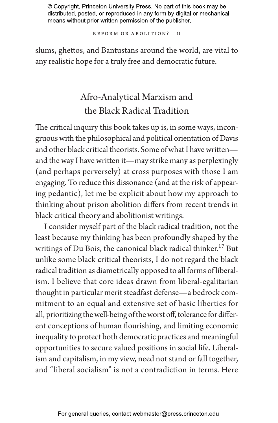REFORM OR ABOLITION? 11

slums, ghettos, and Bantustans around the world, are vital to any realistic hope for a truly free and democratic future.

## Afro-Analytical Marxism and the Black Radical Tradition

The critical inquiry this book takes up is, in some ways, incongruous with the philosophical and political orientation of Davis and other black critical theorists. Some of what I have written and the way I have written it—may strike many as perplexingly (and perhaps perversely) at cross purposes with those I am engaging. To reduce this dissonance (and at the risk of appearing pedantic), let me be explicit about how my approach to thinking about prison abolition differs from recent trends in black critical theory and abolitionist writings.

I consider myself part of the black radical tradition, not the least because my thinking has been profoundly shaped by the writings of Du Bois, the canonical black radical thinker.<sup>17</sup> But unlike some black critical theorists, I do not regard the black radical tradition as diametrically opposed to all forms of liberalism. I believe that core ideas drawn from liberal-egalitarian thought in particular merit steadfast defense—a bedrock commitment to an equal and extensive set of basic liberties for all, prioritizing the well-being of the worst off, tolerance for different conceptions of human flourishing, and limiting economic inequality to protect both democratic practices and meaningful opportunities to secure valued positions in social life. Liberalism and capitalism, in my view, need not stand or fall together, and "liberal socialism" is not a contradiction in terms. Here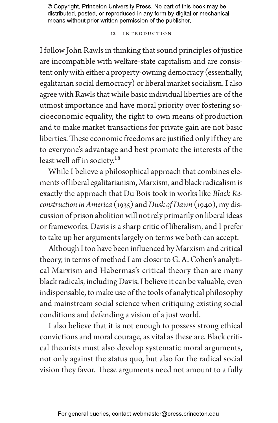### 12 Introduction

I follow John Rawls in thinking that sound principles of justice are incompatible with welfare-state capitalism and are consistent only with either a property-owning democracy (essentially, egalitarian social democracy) or liberal market socialism. I also agree with Rawls that while basic individual liberties are of the utmost importance and have moral priority over fostering socioeconomic equality, the right to own means of production and to make market transactions for private gain are not basic liberties. These economic freedoms are justified only if they are to everyone's advantage and best promote the interests of the least well off in society.<sup>18</sup>

While I believe a philosophical approach that combines elements of liberal egalitarianism, Marxism, and black radicalism is exactly the approach that Du Bois took in works like *Black Reconstruction in America* (1935) and *Dusk of Dawn* (1940), my discussion of prison abolition will not rely primarily on liberal ideas or frameworks. Davis is a sharp critic of liberalism, and I prefer to take up her arguments largely on terms we both can accept.

Although I too have been influenced by Marxism and critical theory, in terms of method I am closer to G. A. Cohen's analytical Marxism and Habermas's critical theory than are many black radicals, including Davis. I believe it can be valuable, even indispensable, to make use of the tools of analytical philosophy and mainstream social science when critiquing existing social conditions and defending a vision of a just world.

I also believe that it is not enough to possess strong ethical convictions and moral courage, as vital as these are. Black critical theorists must also develop systematic moral arguments, not only against the status quo, but also for the radical social vision they favor. These arguments need not amount to a fully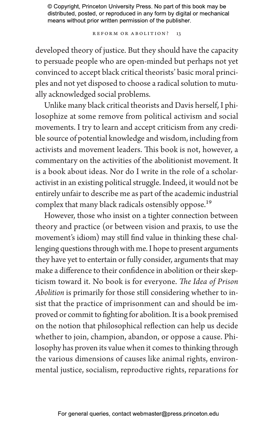REFORM OR ABOLITION? 13

developed theory of justice. But they should have the capacity to persuade people who are open-minded but perhaps not yet convinced to accept black critical theorists' basic moral principles and not yet disposed to choose a radical solution to mutually acknowledged social problems.

Unlike many black critical theorists and Davis herself, I philosophize at some remove from political activism and social movements. I try to learn and accept criticism from any credible source of potential knowledge and wisdom, including from activists and movement leaders. This book is not, however, a commentary on the activities of the abolitionist movement. It is a book about ideas. Nor do I write in the role of a scholaractivist in an existing political struggle. Indeed, it would not be entirely unfair to describe me as part of the academic industrial complex that many black radicals ostensibly oppose.<sup>19</sup>

However, those who insist on a tighter connection between theory and practice (or between vision and praxis, to use the movement's idiom) may still find value in thinking these challenging questions through with me. I hope to present arguments they have yet to entertain or fully consider, arguments that may make a difference to their confidence in abolition or their skepticism toward it. No book is for everyone. *The Idea of Prison Abolition* is primarily for those still considering whether to insist that the practice of imprisonment can and should be improved or commit to fighting for abolition. It is a book premised on the notion that philosophical reflection can help us decide whether to join, champion, abandon, or oppose a cause. Philosophy has proven its value when it comes to thinking through the various dimensions of causes like animal rights, environmental justice, socialism, reproductive rights, reparations for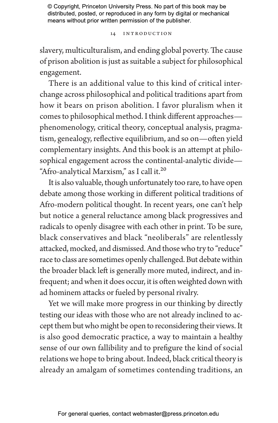14 Introduction

slavery, multiculturalism, and ending global poverty. The cause of prison abolition is just as suitable a subject for philosophical engagement.

There is an additional value to this kind of critical interchange across philosophical and political traditions apart from how it bears on prison abolition. I favor pluralism when it comes to philosophical method. I think different approaches phenomenology, critical theory, conceptual analysis, pragmatism, genealogy, reflective equilibrium, and so on—often yield complementary insights. And this book is an attempt at philosophical engagement across the continental-analytic divide— "Afro-analytical Marxism," as I call it.<sup>20</sup>

It is also valuable, though unfortunately too rare, to have open debate among those working in different political traditions of Afro-modern political thought. In recent years, one can't help but notice a general reluctance among black progressives and radicals to openly disagree with each other in print. To be sure, black conservatives and black "neoliberals" are relentlessly attacked, mocked, and dismissed. And those who try to "reduce" race to class are sometimes openly challenged. But debate within the broader black left is generally more muted, indirect, and infrequent; and when it does occur, it is often weighted down with ad hominem attacks or fueled by personal rivalry.

Yet we will make more progress in our thinking by directly testing our ideas with those who are not already inclined to accept them but who might be open to reconsidering their views. It is also good democratic practice, a way to maintain a healthy sense of our own fallibility and to prefigure the kind of social relations we hope to bring about. Indeed, black critical theory is already an amalgam of sometimes contending traditions, an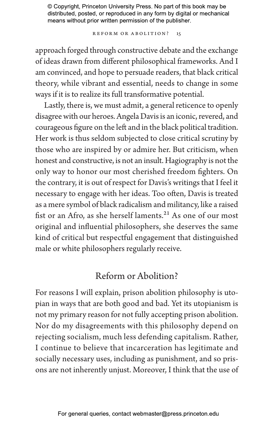Reform or Abolition? 15

approach forged through constructive debate and the exchange of ideas drawn from different philosophical frameworks. And I am convinced, and hope to persuade readers, that black critical theory, while vibrant and essential, needs to change in some ways if it is to realize its full transformative potential.

Lastly, there is, we must admit, a general reticence to openly disagree with our heroes. Angela Davis is an iconic, revered, and courageous figure on the left and in the black political tradition. Her work is thus seldom subjected to close critical scrutiny by those who are inspired by or admire her. But criticism, when honest and constructive, is not an insult. Hagiography is not the only way to honor our most cherished freedom fighters. On the contrary, it is out of respect for Davis's writings that I feel it necessary to engage with her ideas. Too often, Davis is treated as a mere symbol of black radicalism and militancy, like a raised fist or an Afro, as she herself laments.<sup>21</sup> As one of our most original and influential philosophers, she deserves the same kind of critical but respectful engagement that distinguished male or white philosophers regularly receive.

### Reform or Abolition?

For reasons I will explain, prison abolition philosophy is utopian in ways that are both good and bad. Yet its utopianism is not my primary reason for not fully accepting prison abolition. Nor do my disagreements with this philosophy depend on rejecting socialism, much less defending capitalism. Rather, I continue to believe that incarceration has legitimate and socially necessary uses, including as punishment, and so prisons are not inherently unjust. Moreover, I think that the use of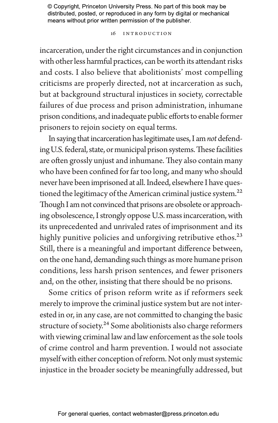### 16 Introduction

incarceration, under the right circumstances and in conjunction with other less harmful practices, can be worth its attendant risks and costs. I also believe that abolitionists' most compelling criticisms are properly directed, not at incarceration as such, but at background structural injustices in society, correctable failures of due process and prison administration, inhumane prison conditions, and inadequate public efforts to enable former prisoners to rejoin society on equal terms.

In saying that incarceration has legitimate uses, I am *not* defending U.S. federal, state, or municipal prison systems. These facilities are often grossly unjust and inhumane. They also contain many who have been confined for far too long, and many who should never have been imprisoned at all. Indeed, elsewhere I have questioned the legitimacy of the American criminal justice system.<sup>22</sup> Though I am not convinced that prisons are obsolete or approaching obsolescence, I strongly oppose U.S. mass incarceration, with its unprecedented and unrivaled rates of imprisonment and its highly punitive policies and unforgiving retributive ethos.<sup>23</sup> Still, there is a meaningful and important difference between, on the one hand, demanding such things as more humane prison conditions, less harsh prison sentences, and fewer prisoners and, on the other, insisting that there should be no prisons.

Some critics of prison reform write as if reformers seek merely to improve the criminal justice system but are not interested in or, in any case, are not committed to changing the basic structure of society.<sup>24</sup> Some abolitionists also charge reformers with viewing criminal law and law enforcement as the sole tools of crime control and harm prevention. I would not associate myself with either conception of reform. Not only must systemic injustice in the broader society be meaningfully addressed, but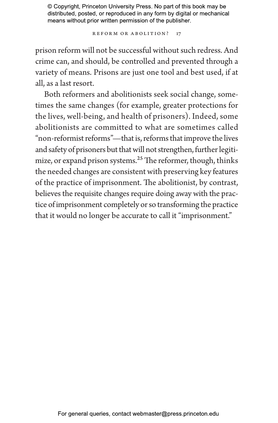Reform or Abolition? 17

prison reform will not be successful without such redress. And crime can, and should, be controlled and prevented through a variety of means. Prisons are just one tool and best used, if at all, as a last resort.

Both reformers and abolitionists seek social change, sometimes the same changes (for example, greater protections for the lives, well-being, and health of prisoners). Indeed, some abolitionists are committed to what are sometimes called "non-reformist reforms"—that is, reforms that improve the lives and safety of prisoners but that will not strengthen, further legitimize, or expand prison systems.<sup>25</sup> The reformer, though, thinks the needed changes are consistent with preserving key features of the practice of imprisonment. The abolitionist, by contrast, believes the requisite changes require doing away with the practice of imprisonment completely or so transforming the practice that it would no longer be accurate to call it "imprisonment."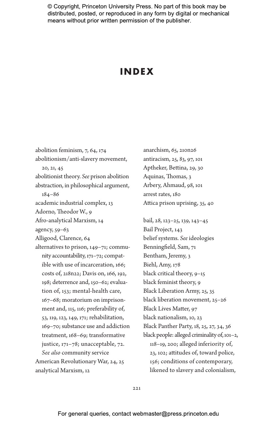### **INDEX**

abolition feminism, 7, 64, 174 abolitionism/anti-slavery movement, 20, 21, 45 abolitionist theory. *See* prison abolition abstraction, in philosophical argument, 184–86 academic industrial complex, 13 Adorno, Theodor W., 9 Afro-analytical Marxism, 14 agency, 59–63 Alligood, Clarence, 64 alternatives to prison, 149–71; community accountability, 171–72; compatible with use of incarceration, 166; costs of, 218n22; Davis on, 166, 192, 198; deterrence and, 150–62; evaluation of, 153; mental-health care, 167–68; moratorium on imprisonment and, 115, 116; preferability of, 53, 119, 123, 149, 171; rehabilitation, 169–70; substance use and addiction treatment, 168–69; transformative justice, 171–78; unacceptable, 72. *See also* community service American Revolutionary War, 24, 25 analytical Marxism, 12

anarchism, 65, 210n26 antiracism, 25, 83, 97, 101 Aptheker, Bettina, 29, 30 Aquinas, Thomas, 3 Arbery, Ahmaud, 98, 101 arrest rates, 180 Attica prison uprising, 35, 40

bail, 28, 123–25, 139, 143–45 Bail Project, 143 belief systems. *See* ideologies Benningfield, Sam, 71 Bentham, Jeremy, 3 Biehl, Amy, 178 black critical theory, 9–15 black feminist theory, 9 Black Liberation Army, 25, 35 black liberation movement, 25–26 Black Lives Matter, 97 black nationalism, 10, 23 Black Panther Party, 18, 25, 27, 34, 36 black people: alleged criminality of, 101–2, 118–19, 200; alleged inferiority of, 23, 102; attitudes of, toward police, 156; conditions of contemporary, likened to slavery and colonialism,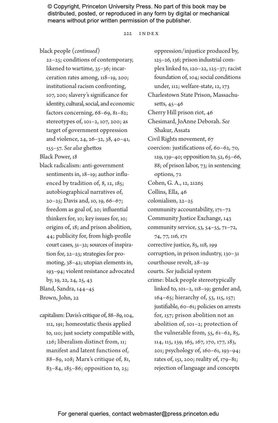#### 222 Index

black people (*continued*)

22–25; conditions of contemporary, likened to wartime, 35–36; incarceration rates among, 118–19, 200; institutional racism confronting, 107, 200; slavery's significance for identity, cultural, social, and economic factors concerning, 68–69, 81–82; stereotypes of, 101–2, 107, 200; as target of government oppression and violence, 24, 26–32, 38, 40–41, 155–57. *See also* ghettos

Black Power, 18

black radicalism: anti-government sentiments in, 18–19; author influenced by tradition of, 8, 12, 185; autobiographical narratives of, 20–25; Davis and, 10, 19, 66–67; freedom as goal of, 20; influential thinkers for, 10; key issues for, 10; origins of, 18; and prison abolition, 44; publicity for, from high-profile court cases, 31–32; sources of inspiration for, 22–23; strategies for promoting, 38–42; utopian elements in, 193–94; violent resistance advocated by, 19, 22, 24, 25, 43 Bland, Sandra, 144–45 Brown, John, 22

capitalism: Davis's critique of, 88–89, 104, 112, 191; homeostatic thesis applied to, 110; just society compatible with, 126; liberalism distinct from, 11; manifest and latent functions of, 88–89, 108; Marx's critique of, 81, 83–84, 185–86; opposition to, 25;

oppression/injustice produced by, 125–26, 136; prison industrial complex linked to, 120–22, 125–37; racist foundation of, 104; social conditions under, 112; welfare-state, 12, 173 Charlestown State Prison, Massachusetts, 45–46 Cherry Hill prison riot, 46 Chesimard, JoAnne Deborah. *See* Shakur, Assata Civil Rights movement, 67 coercion: justifications of, 60–62, 70, 129, 139–40; opposition to, 52, 65–66, 88; of prison labor, 73; in sentencing options, 72 Cohen, G. A., 12, 212n5 Collins, Ella, 46 colonialism, 22–25 community accountability, 171–72 Community Justice Exchange, 143 community service, 53, 54–55, 71–72, 74, 77, 116, 171 corrective justice, 85, 118, 199 corruption, in prison industry, 130–31 courthouse revolt, 28–29 courts. *See* judicial system crime: black people stereotypically linked to, 101–2, 118–19; gender and, 164–65; hierarchy of, 53, 115, 157; justifiable, 60–61; policies on arrests for, 157; prison abolition not an abolition of, 101–2; protection of the vulnerable from, 55, 61–62, 85, 114, 115, 139, 165, 167, 170, 177, 183, 201; psychology of, 160–61, 193–94; rates of, 151, 200; reality of, 179–81; rejection of language and concepts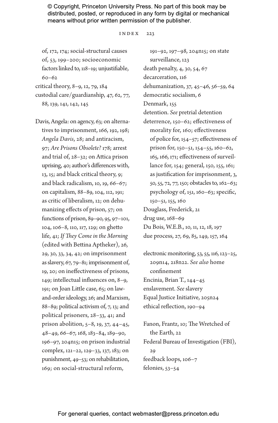### $INDEX$  223

of, 172, 174; social-structural causes of, 53, 199–200; socioeconomic factors linked to, 118–19; unjustifiable, 60–62

critical theory, 8–9, 12, 79, 184

custodial care/guardianship, 47, 62, 77, 88, 139, 141, 142, 145

Davis, Angela: on agency, 63; on alternatives to imprisonment, 166, 192, 198; *Angela Davis*, 28; and antiracism, 97; *Are Prisons Obsolete?* 178; arrest and trial of, 28–32; on Attica prison uprising, 40; author's differences with, 13, 15; and black critical theory, 9; and black radicalism, 10, 19, 66–67; on capitalism, 88–89, 104, 112, 191; as critic of liberalism, 12; on dehumanizing effects of prison, 57; on functions of prison, 89–90, 95, 97–101, 104, 106–8, 110, 117, 129; on ghetto life, 41; *If They Come in the Morning* (edited with Bettina Aptheker), 26, 29, 30, 33, 34, 42; on imprisonment as slavery, 67, 79–81; imprisonment of, 19, 20; on ineffectiveness of prisons, 149; intellectual influences on, 8–9, 191; on Joan Little case, 65; on lawand-order ideology, 26; and Marxism, 88–89; political activism of, 7, 13; and political prisoners, 28–33, 41; and prison abolition, 5–8, 19, 37, 44–45, 48–49, 66–67, 168, 183–84, 189–90, 196–97, 204n15; on prison industrial complex, 121–22, 129–33, 137, 183; on punishment, 49–53; on rehabilitation, 169; on social-structural reform,

191–92, 197–98, 204n15; on state surveillance, 123 death penalty, 4, 30, 54, 67 decarceration, 116 dehumanization, 37, 45–46, 56–59, 64 democratic socialism, 6 Denmark, 155 detention. *See* pretrial detention deterrence, 150–62; effectiveness of morality for, 160; effectiveness of police for, 154–57; effectiveness of prison for, 150–51, 154–55, 160–62, 165, 166, 171; effectiveness of surveillance for, 154; general, 150, 155, 161; as justification for imprisonment, 3, 50, 55, 72, 77, 150; obstacles to, 162–63; psychology of, 151, 160–63; specific, 150–51, 155, 160 Douglass, Frederick, 21 drug use, 168–69 Du Bois, W.E.B., 10, 11, 12, 18, 197 due process, 27, 69, 85, 149, 157, 164

electronic monitoring, 53, 55, 116, 123–25, 209n14, 218n22. *See also* home confinement Encinia, Brian T., 144–45 enslavement. *See* slavery Equal Justice Initiative, 205n24 ethical reflection, 190–94

Fanon, Frantz, 10; The Wretched of the Earth, 22 Federal Bureau of Investigation (FBI), 29 feedback loops, 106–7 felonies, 53–54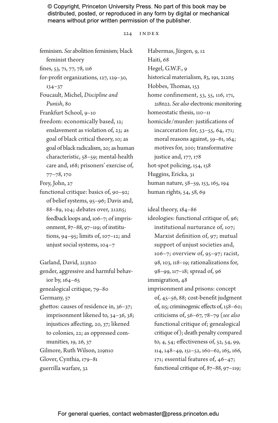### 224 Index

feminism. *See* abolition feminism; black feminist theory fines, 53, 71, 77, 78, 116 for-profit organizations, 127, 129–30, 134–37 Foucault, Michel, *Discipline and Punish*, 80 Frankfurt School, 9–10 freedom: economically based, 12; enslavement as violation of, 23; as goal of black critical theory, 10; as goal of black radicalism, 20; as human characteristic, 58–59; mental-health care and, 168; prisoners' exercise of, 77–78, 170 Frey, John, 27 functional critique: basics of, 90–92; of belief systems, 95–96; Davis and, 88–89, 104; debates over, 212n5; feedback loops and, 106–7; of imprisonment, 87–88, 97–119; of institutions, 94–95; limits of, 107–12; and unjust social systems, 104–7 Garland, David, 213n20 gender, aggressive and harmful behavior by, 164–65 genealogical critique, 79–80 Germany, 57 ghettos: causes of residence in, 36–37; imprisonment likened to, 34–36, 38; injustices affecting, 20, 37; likened to colonies, 22; as oppressed communities, 19, 26, 37 Gilmore, Ruth Wilson, 219n10 Glover, Cynthia, 179–81 guerrilla warfare, 32

Habermas, Jürgen, 9, 12 Haiti, 68 Hegel, G.W.F., 9 historical materialism, 83, 191, 212n5 Hobbes, Thomas, 153 home confinement, 53, 55, 116, 171, 218n22. *See also* electronic monitoring homeostatic thesis, 110–11 homicide/murder: justifications of incarceration for, 53–55, 64, 171; moral reasons against, 59–61, 164; motives for, 200; transformative justice and, 177, 178 hot-spot policing, 154, 158 Huggins, Ericka, 31 human nature, 58–59, 153, 165, 194 human rights, 54, 58, 69

ideal theory, 184–86

ideologies: functional critique of, 96; institutional nurturance of, 107; Marxist definition of, 97; mutual support of unjust societies and, 106–7; overview of, 95–97; racist, 98, 103, 118–19; rationalizations for, 98–99, 117–18; spread of, 96 immigration, 48

imprisonment and prisons: concept of, 45–56, 88; cost-benefit judgment of, 115; criminogenic effects of, 158–60; criticisms of, 56–67, 78–79 (*see also* functional critique of; genealogical critique of); death penalty compared to, 4, 54; effectiveness of, 52, 54, 99, 114, 148–49, 151–52, 160–62, 165, 166, 171; essential features of, 46–47; functional critique of, 87–88, 97–119;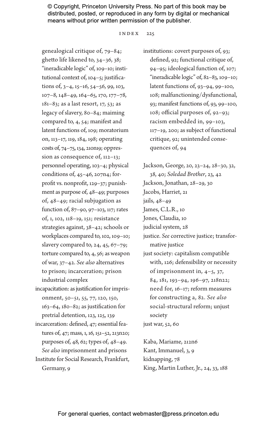#### $INDEX$  225

genealogical critique of, 79–84; ghetto life likened to, 34–36, 38; "ineradicable logic" of, 109–10; institutional context of, 104–5; justifications of, 3–4, 15–16, 54–56, 99, 103, 107–8, 148–49, 164–65, 170, 177–78, 181–83; as a last resort, 17, 53; as legacy of slavery, 80–84; maiming compared to, 4, 54; manifest and latent functions of, 109; moratorium on, 113–17, 119, 184, 198; operating costs of, 74–75, 134, 210n19; oppression as consequence of, 112–13; personnel operating, 103–4; physical conditions of, 45–46, 207n4; forprofit vs. nonprofit, 129–37; punishment as purpose of, 48–49; purposes of, 48–49; racial subjugation as function of, 87–90, 97–103, 117; rates of, 1, 102, 118–19, 151; resistance strategies against, 38–42; schools or workplaces compared to, 102, 109–10; slavery compared to, 24, 45,  $67-79$ ; torture compared to, 4, 56; as weapon of war, 37–42. *See also* alternatives to prison; incarceration; prison industrial complex

incapacitation: as justification for imprisonment, 50–51, 55, 77, 120, 150, 163–64, 180–82; as justification for pretrial detention, 123, 125, 139

incarceration: defined, 47; essential features of, 47; mass, 1, 16, 151–52, 213n20; purposes of, 48, 62; types of, 48–49. *See also* imprisonment and prisons Institute for Social Research, Frankfurt, Germany, 9

institutions: covert purposes of, 93; defined, 92; functional critique of, 94–95; ideological function of, 107; "ineradicable logic" of, 82–83, 109–10; latent functions of, 93–94, 99–100, 108; malfunctioning/dysfunctional, 93; manifest functions of, 93, 99–100, 108; official purposes of, 92–93; racism embedded in, 99–103, 117–19, 200; as subject of functional critique, 92; unintended consequences of, 94

Jackson, George, 20, 23–24, 28–30, 32, 38, 40; *Soledad Brother*, 23, 42 Jackson, Jonathan, 28–29, 30 Jacobs, Harriet, 21 jails, 48–49 James, C.L.R., 10 Jones, Claudia, 10 judicial system, 28 justice. *See* corrective justice; transformative justice just society: capitalism compatible with, 126; defensibility or necessity of imprisonment in, 4–5, 37, 84, 181, 193–94, 196–97, 218n22; need for, 16–17; reform measures for constructing a, 82. *See also* social-structural reform; unjust society just war, 52, 60

Kaba, Mariame, 212n6 Kant, Immanuel, 3, 9 kidnapping, 78 King, Martin Luther, Jr., 24, 33, 188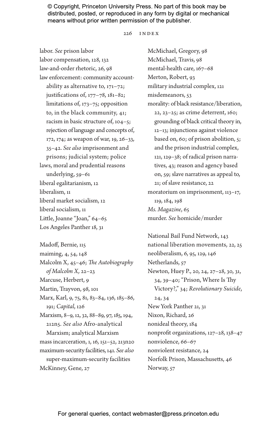#### 226 Index

labor. *See* prison labor labor compensation, 128, 132 law-and-order rhetoric, 26, 98 law enforcement: community accountability as alternative to, 171–72; justifications of, 177–78, 181–82; limitations of, 173–75; opposition to, in the black community, 41; racism in basic structure of, 104–5; rejection of language and concepts of, 172, 174; as weapon of war, 19, 26–33, 35–42. *See also* imprisonment and prisons; judicial system; police laws, moral and prudential reasons underlying, 59–61 liberal egalitarianism, 12 liberalism, 11 liberal market socialism, 12 liberal socialism, 11 Little, Joanne "Joan," 64–65 Los Angeles Panther 18, 31

Madoff, Bernie, 115 maiming, 4, 54, 148 Malcolm X, 45–46; *The Autobiography of Malcolm X,* 22–23 Marcuse, Herbert, 9 Martin, Trayvon, 98, 101 Marx, Karl, 9, 75, 81, 83–84, 136, 185–86, 191; *Capital*, 126 Marxism, 8–9, 12, 32, 88–89, 97, 185, 194, 212n5. *See also* Afro-analytical Marxism; analytical Marxism mass incarceration, 1, 16, 151–52, 213n20 maximum-security facilities, 141. *See also* super-maximum-security facilities McKinney, Gene, 27

McMichael, Gregory, 98 McMichael, Travis, 98 mental-health care, 167–68 Merton, Robert, 93 military industrial complex, 121 misdemeanors, 53 morality: of black resistance/liberation, 22, 23–25; as crime deterrent, 160; grounding of black critical theory in, 12–13; injunctions against violence based on, 60; of prison abolition, 5; and the prison industrial complex, 121, 129–38; of radical prison narratives, 43; reason and agency based on, 59; slave narratives as appeal to, 21; of slave resistance, 22 moratorium on imprisonment, 113–17, 119, 184, 198 *Ms. Magazine*, 65 murder. *See* homicide/murder

National Bail Fund Network, 143 national liberation movements, 22, 25 neoliberalism, 6, 95, 129, 146 Netherlands, 57 Newton, Huey P., 20, 24, 27–28, 30, 31, 34, 39–40; "Prison, Where Is Thy Victory?," 34; *Revolutionary Suicide*, 24, 34 New York Panther 21, 31 Nixon, Richard, 26 nonideal theory, 184 nonprofit organizations, 127–28, 138–47 nonviolence, 66–67 nonviolent resistance, 24 Norfolk Prison, Massachusetts, 46 Norway, 57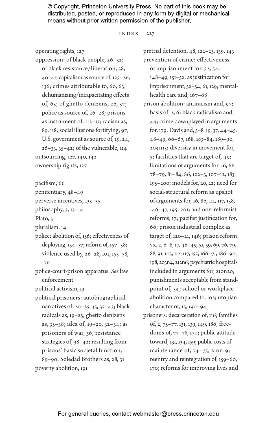#### INDEX 227

operating rights, 127

oppression: of black people, 26–32; of black resistance/liberation, 38, 40–41; capitalism as source of, 125–26, 136; crimes attributable to, 60, 63; dehumanizing/incapacitating effects of, 63; of ghetto denizens, 26, 37; police as source of, 26–28; prisons as instrument of, 112–13; racism as, 89, 118; social illusions fortifying, 97; U.S. government as source of, 19, 24, 26–33, 35–42; of the vulnerable, 114 outsourcing, 127, 140, 142 ownership rights, 127

pacifism, 66

penitentiary, 48–49

perverse incentives, 133–35

philosophy, 3, 13–14

Plato, 3

pluralism, 14

police: abolition of, 156; effectiveness of deploying, 154–57; reform of, 157–58; violence used by, 26–28, 101, 155–58, 176

police-court-prison apparatus. *See* law enforcement

political activism, 13

political prisoners: autobiographical narratives of, 20–25, 35, 37–43; black radicals as, 19–25; ghetto denizens as, 35–38; idea of, 19–20, 32–34; as prisoners of war, 36; resistance strategies of, 38–42; resulting from prisons' basic societal function, 89–90; Soledad Brothers as, 28, 31 poverty abolition, 191

pretrial detention, 48, 122–25, 139, 143 prevention of crime: effectiveness of imprisonment for, 52, 54, 148–49, 151–52; as justification for imprisonment, 52–54, 61, 129; mentalhealth care and, 167–68

- prison abolition: antiracism and, 97; basis of, 2, 6; black radicalism and, 44; crime downplayed in arguments for, 179; Davis and, 5–8, 19, 37, 44–45, 48–49, 66–67, 168, 183–84, 189–90, 204n15; diversity in movement for, 5; facilities that are target of, 49; limitations of arguments for, 16, 66, 78–79, 81–84, 86, 102–3, 107–12, 183, 195–200; models for, 20, 22; need for social-structural reform as upshot of arguments for, 16, 86, 111, 117, 138, 146–47, 195–201; and non-reformist reforms, 17; pacifist justification for, 66; prison industrial complex as target of, 120–21, 146; prison reform vs., 2, 6–8, 17, 46–49, 51, 59, 69, 76, 79, 88, 91, 103, 112, 117, 152, 166–71, 186–90, 198, 203n4, 212n6; psychiatric hospitals included in arguments for, 210n20; punishments acceptable from standpoint of, 54; school or workplace abolition compared to, 102; utopian character of, 15, 190–94
- prisoners: decarceration of, 116; families of, 2, 75–77, 131, 139, 149, 186; freedoms of, 77–78, 170; public attitude toward, 131, 134, 159; public costs of maintenance of, 74-75, 210n19; reentry and reintegration of, 159–60, 170; reforms for improving lives and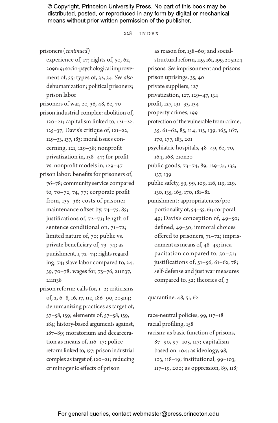### 228 Index

prisoners (*continued*)

experience of, 17; rights of, 50, 62, 209n19; socio-psychological improvement of, 55; types of, 32, 34. *See also* dehumanization; political prisoners; prison labor

prisoners of war, 20, 36, 48, 62, 70 prison industrial complex: abolition of, 120–21; capitalism linked to, 121–22, 125–37; Davis's critique of, 121–22, 129–33, 137, 183; moral issues concerning, 121, 129–38; nonprofit privatization in, 138–47; for-profit vs. nonprofit models in, 129–47

prison labor: benefits for prisoners of, 76–78; community service compared to, 70–72, 74, 77; corporate profit from, 135–36; costs of prisoner maintenance offset by, 74-75, 85; justifications of, 72–73; length of sentence conditional on, 71–72; limited nature of, 70; public vs. private beneficiary of, 73–74; as punishment, 1, 72–74; rights regarding, 74; slave labor compared to, 24, 39, 70–78; wages for, 75–76, 211n37, 211n38

prison reform: calls for, 1–2; criticisms of, 2, 6–8, 16, 17, 112, 186–90, 203n4; dehumanizing practices as target of, 57–58, 159; elements of, 57–58, 159, 184; history-based arguments against, 187–89; moratorium and decarceration as means of, 116–17; police reform linked to, 157; prison industrial complex as target of, 120–21; reducing criminogenic effects of prison

as reason for, 158–60; and socialstructural reform, 119, 161, 199, 205n24 prisons. *See* imprisonment and prisons prison uprisings, 35, 40 private suppliers, 127 privatization, 127, 129–47, 134 profit, 127, 131–33, 134 property crimes, 199 protection of the vulnerable from crime, 55, 61–62, 85, 114, 115, 139, 165, 167, 170, 177, 183, 201 psychiatric hospitals, 48–49, 62, 70, 164, 168, 210n20 public goods, 73–74, 89, 129–31, 135, 137, 139 public safety, 59, 99, 109, 116, 119, 129, 130, 135, 165, 170, 181–82 punishment: appropriateness/proportionality of, 54–55, 61; corporal, 49; Davis's conception of, 49–50; defined, 49–50; immoral choices offered to prisoners, 71–72; imprisonment as means of, 48–49; incapacitation compared to, 50–51; justifications of, 51–56, 61–62, 78; self-defense and just war measures compared to, 52; theories of, 3

quarantine, 48, 51, 62

race-neutral policies, 99, 117–18 racial profiling, 158 racism: as basic function of prisons, 87–90, 97–103, 117; capitalism based on, 104; as ideology, 98, 103, 118–19; institutional, 99–103, 117–19, 200; as oppression, 89, 118;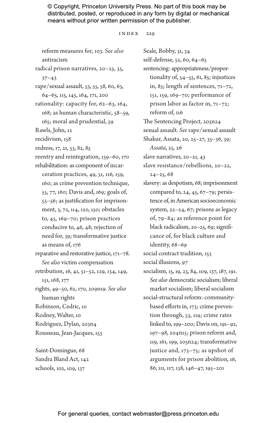INDEX 229

reform measures for, 103. *See also* antiracism radical prison narratives, 20–25, 35, 37–43 rape/sexual assault, 53, 55, 58, 60, 63, 64–65, 115, 145, 164, 171, 200 rationality: capacity for, 62–63, 164, 168; as human characteristic, 58–59, 165; moral and prudential, 59 Rawls, John, 12 recidivism, 158 redress, 17, 21, 53, 82, 85 reentry and reintegration, 159–60, 170 rehabilitation: as component of incarceration practices, 49, 51, 116, 159, 160; as crime prevention technique, 55, 77, 160; Davis and, 169; goals of, 55–56; as justification for imprisonment, 3, 72, 114, 120, 150; obstacles to, 45, 169–70; prison practices conducive to, 46, 48; rejection of need for, 39; transformative justice as means of, 176 reparative and restorative justice, 171–78. *See also* victim compensation retribution, 16, 41, 51–52, 129, 134, 149, 151, 168, 177 rights, 49–50, 62, 170, 209n19. *See also* human rights Robinson, Cedric, 10 Rodney, Walter, 10 Rodriguez, Dylan, 203n4 Rousseau, Jean-Jacques, 153 Saint-Domingue, 68

Sandra Bland Act, 142 schools, 102, 109, 137

Seale, Bobby, 31, 34 self-defense, 52, 60, 64–65 sentencing: appropriateness/proportionality of, 54–55, 61, 85; injustices in, 85; length of sentences, 71–72, 151, 159, 169–70; performance of prison labor as factor in, 71–72; reform of, 116 The Sentencing Project, 205n24 sexual assault. *See* rape/sexual assault Shakur, Assata, 20, 25–27, 35–36, 39; *Assata*, 25, 26 slave narratives, 20–21, 43 slave resistance/rebellions, 20–22,  $24 - 25, 68$ slavery: as despotism, 68; imprisonment compared to, 24, 45, 67–79; persistence of, in American socioeconomic system, 22–24, 67; prisons as legacy of, 79–84; as reference point for black radicalism, 20–25, 69; significance of, for black culture and identity, 68–69 social contract tradition, 153 social illusions, 97 socialism, 15, 19, 23, 84, 109, 137, 187, 191. *See also* democratic socialism; liberal market socialism; liberal socialism social-structural reform: communitybased efforts in, 173; crime prevention through, 53, 119; crime rates linked to, 199–200; Davis on, 191–92, 197–98, 204n15; prison reform and, 119, 161, 199, 205n24; transformative justice and, 173–75; as upshot of arguments for prison abolition, 16, 86, 111, 117, 138, 146–47, 195–201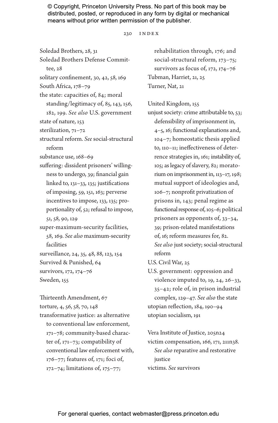#### 230 Index

Soledad Brothers, 28, 31

Soledad Brothers Defense Commit-

tee, 28

- solitary confinement, 30, 42, 58, 169
- South Africa, 178–79
- the state: capacities of, 84; moral standing/legitimacy of, 85, 143, 156, 182, 199. *See also* U.S. government
- state of nature, 153
- sterilization, 71–72
- structural reform. *See* social-structural reform
- substance use, 168–69

suffering: dissident prisoners' willingness to undergo, 39; financial gain linked to, 131–33, 135; justifications of imposing, 59, 151, 163; perverse incentives to impose, 133, 135; proportionality of, 52; refusal to impose, 51, 58, 90, 129

super-maximum-security facilities, 58, 169. *See also* maximum-security facilities

surveillance, 24, 35, 48, 88, 123, 154

- Survived & Punished, 64
- survivors, 172, 174–76
- Sweden, 155

Thirteenth Amendment, 67

torture, 4, 56, 58, 70, 148

transformative justice: as alternative to conventional law enforcement, 171–78; community-based character of, 171–73; compatibility of conventional law enforcement with, 176–77; features of, 171; foci of, 172–74; limitations of, 175–77;

rehabilitation through, 176; and social-structural reform, 173–75; survivors as focus of, 172, 174–76 Tubman, Harriet, 21, 25 Turner, Nat, 21

United Kingdom, 155

unjust society: crime attributable to, 53; defensibility of imprisonment in, 4–5, 16; functional explanations and, 104–7; homeostatic thesis applied to, 110–11; ineffectiveness of deterrence strategies in, 161; instability of, 105; as legacy of slavery, 82; moratorium on imprisonment in, 113–17, 198; mutual support of ideologies and, 106–7; nonprofit privatization of prisons in, 143; penal regime as functional response of, 105–6; political prisoners as opponents of, 33–34, 39; prison-related manifestations of, 16; reform measures for, 82. *See also* just society; social-structural reform

U.S. Civil War, 25

U.S. government: oppression and violence imputed to, 19, 24, 26–33, 35–42; role of, in prison industrial complex, 129–47. *See also* the state utopian reflection, 184, 190–94 utopian socialism, 191

Vera Institute of Justice, 205n24 victim compensation, 166, 171, 211n38. *See also* reparative and restorative justice victims. *See* survivors